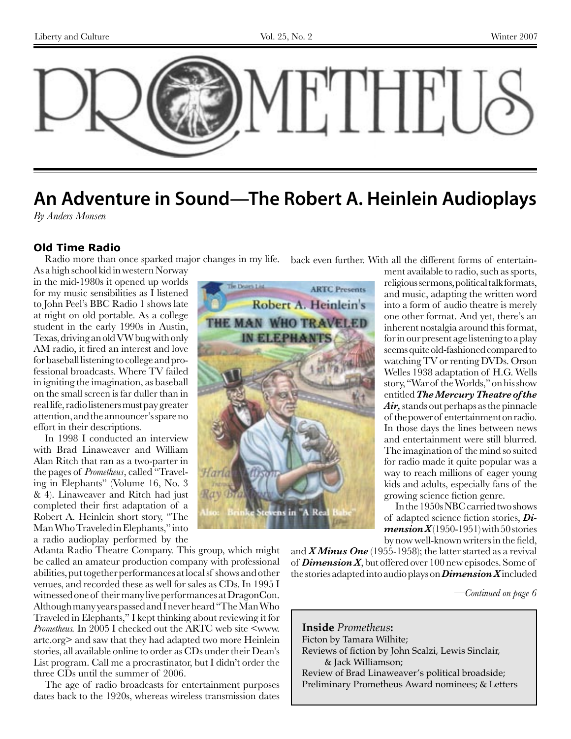

# **An Adventure in Sound—The Robert A. Heinlein Audioplays**

*By Anders Monsen*

#### **Old Time Radio**

Radio more than once sparked major changes in my life. As a high school kid in western Norway

in the mid-1980s it opened up worlds for my music sensibilities as I listened to John Peel's BBC Radio 1 shows late at night on old portable. As a college student in the early 1990s in Austin, Texas, driving an old VW bug with only AM radio, it fired an interest and love for baseball listening to college and professional broadcasts. Where TV failed in igniting the imagination, as baseball on the small screen is far duller than in real life, radio listeners must pay greater attention, and the announcer's spare no effort in their descriptions.

In 1998 I conducted an interview with Brad Linaweaver and William Alan Ritch that ran as a two-parter in the pages of *Prometheus*, called "Traveling in Elephants" (Volume 16, No. 3 & 4). Linaweaver and Ritch had just completed their first adaptation of a Robert A. Heinlein short story, "The Man Who Traveled in Elephants," into a radio audioplay performed by the

Atlanta Radio Theatre Company. This group, which might be called an amateur production company with professional abilities, put together performances at local sf shows and other venues, and recorded these as well for sales as CDs. In 1995 I witnessed one of their many live performances at DragonCon. Although many years passed and I never heard "The Man Who Traveled in Elephants," I kept thinking about reviewing it for *Prometheus.* In 2005 I checked out the ARTC web site <www. artc.org> and saw that they had adapted two more Heinlein stories, all available online to order as CDs under their Dean's List program. Call me a procrastinator, but I didn't order the three CDs until the summer of 2006.

The age of radio broadcasts for entertainment purposes dates back to the 1920s, whereas wireless transmission dates



back even further. With all the different forms of entertain-

ment available to radio, such as sports, religious sermons, political talk formats, and music, adapting the written word into a form of audio theatre is merely one other format. And yet, there's an inherent nostalgia around this format, for in our present age listening to a play seems quite old-fashioned compared to watching TV or renting DVDs. Orson Welles 1938 adaptation of H.G. Wells story, "War of the Worlds," on his show entitled *The Mercury Theatre of the Air,* stands out perhaps as the pinnacle of the power of entertainment on radio. In those days the lines between news and entertainment were still blurred. The imagination of the mind so suited for radio made it quite popular was a way to reach millions of eager young kids and adults, especially fans of the growing science fiction genre.

In the 1950s NBC carried two shows of adapted science fiction stories, *Dimension X* $(1950-1951)$  with 50 stories by now well-known writers in the field,

and *X Minus One* (1955-1958); the latter started as a revival of *Dimension X*, but offered over 100 new episodes. Some of the stories adapted into audio plays on *Dimension X* included

*—Continued on page 6*

**Inside** *Prometheus***:** Ficton by Tamara Wilhite; Reviews of fiction by John Scalzi, Lewis Sinclair, & Jack Williamson; Review of Brad Linaweaver's political broadside; Preliminary Prometheus Award nominees; & Letters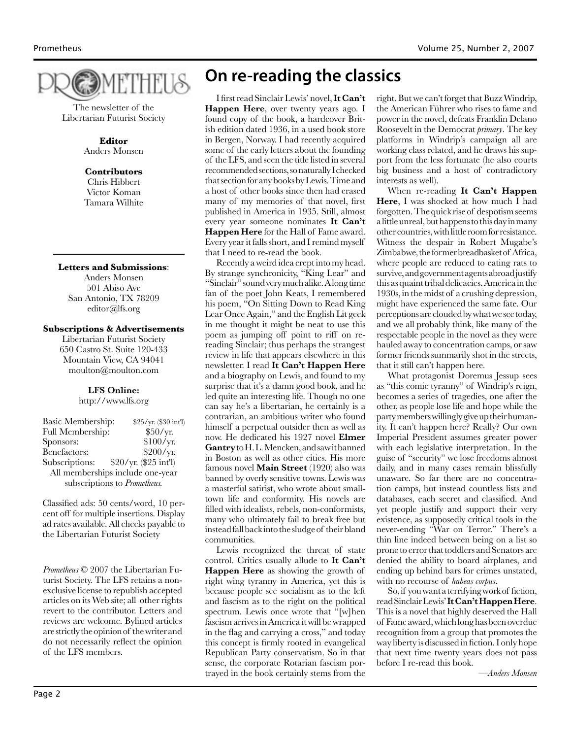

The newsletter of the Libertarian Futurist Society

> **Editor** Anders Monsen

#### **Contributors**

Chris Hibbert Victor Koman Tamara Wilhite

**Letters and Submissions**: Anders Monsen 501 Abiso Ave

San Antonio, TX 78209 editor@lfs.org

#### **Subscriptions & Advertisements**

Libertarian Futurist Society 650 Castro St. Suite 120-433 Mountain View, CA 94041 moulton@moulton.com

#### **LFS Online:**

http://www.lfs.org

| Basic Membership:                | \$25/yr. (\$30 int'l) |
|----------------------------------|-----------------------|
| Full Membership:                 | \$50/yr.              |
| Sponsors:                        | \$100/yr.             |
| Benefactors:                     | \$200/yr.             |
| Subscriptions:                   | \$20/yr. (\$25 int'l) |
| All memberships include one-year |                       |
| subscriptions to Prometheus.     |                       |

Classified ads: 50 cents/word, 10 percent off for multiple insertions. Display ad rates available. All checks payable to the Libertarian Futurist Society

*Prometheus* © 2007 the Libertarian Futurist Society. The LFS retains a nonexclusive license to republish accepted articles on its Web site; all other rights revert to the contributor. Letters and reviews are welcome. Bylined articles are strictly the opinion of the writer and do not necessarily reflect the opinion of the LFS members.

## **On re-reading the classics**

I first read Sinclair Lewis' novel, **It Can't Happen Here**, over twenty years ago. I found copy of the book, a hardcover British edition dated 1936, in a used book store in Bergen, Norway. I had recently acquired some of the early letters about the founding of the LFS, and seen the title listed in several recommended sections, so naturally I checked that section for any books by Lewis. Time and a host of other books since then had erased many of my memories of that novel, first published in America in 1935. Still, almost every year someone nominates **It Can't Happen Here** for the Hall of Fame award. Every year it falls short, and I remind myself that I need to re-read the book.

Recently a weird idea crept into my head. By strange synchronicity, "King Lear" and "Sinclair" sound very much alike. A long time fan of the poet John Keats, I remembered his poem, "On Sitting Down to Read King Lear Once Again," and the English Lit geek in me thought it might be neat to use this poem as jumping off point to riff on rereading Sinclair; thus perhaps the strangest review in life that appears elsewhere in this newsletter. I read **It Can't Happen Here** and a biography on Lewis, and found to my surprise that it's a damn good book, and he led quite an interesting life. Though no one can say he's a libertarian, he certainly is a contrarian, an ambitious writer who found himself a perpetual outsider then as well as now. He dedicated his 1927 novel **Elmer Gantry** to H. L. Mencken, and saw it banned in Boston as well as other cities. His more famous novel **Main Street** (1920) also was banned by overly sensitive towns. Lewis was a masterful satirist, who wrote about smalltown life and conformity. His novels are filled with idealists, rebels, non-conformists, many who ultimately fail to break free but instead fall back into the sludge of their bland communities.

Lewis recognized the threat of state control. Critics usually allude to **It Can't Happen Here** as showing the growth of right wing tyranny in America, yet this is because people see socialism as to the left and fascism as to the right on the political spectrum. Lewis once wrote that "[w]hen fascism arrives in America it will be wrapped in the flag and carrying a cross," and today this concept is firmly rooted in evangelical Republican Party conservatism. So in that sense, the corporate Rotarian fascism portrayed in the book certainly stems from the

right. But we can't forget that Buzz Windrip, the American Führer who rises to fame and power in the novel, defeats Franklin Delano Roosevelt in the Democrat *primary*. The key platforms in Windrip's campaign all are working class related, and he draws his support from the less fortunate (he also courts big business and a host of contradictory interests as well).

When re-reading **It Can't Happen Here**, I was shocked at how much I had forgotten. The quick rise of despotism seems a little unreal, but happens to this day in many other countries, with little room for resistance. Witness the despair in Robert Mugabe's Zimbabwe, the former breadbasket of Africa, where people are reduced to eating rats to survive, and government agents abroad justify this as quaint tribal delicacies. America in the 1930s, in the midst of a crushing depression, might have experienced the same fate. Our perceptions are clouded by what we see today, and we all probably think, like many of the respectable people in the novel as they were hauled away to concentration camps, or saw former friends summarily shot in the streets, that it still can't happen here.

What protagonist Doremus Jessup sees as "this comic tyranny" of Windrip's reign, becomes a series of tragedies, one after the other, as people lose life and hope while the party members willingly give up their humanity. It can't happen here? Really? Our own Imperial President assumes greater power with each legislative interpretation. In the guise of "security" we lose freedoms almost daily, and in many cases remain blissfully unaware. So far there are no concentration camps, but instead countless lists and databases, each secret and classified. And yet people justify and support their very existence, as supposedly critical tools in the never-ending "War on Terror." There's a thin line indeed between being on a list so prone to error that toddlers and Senators are denied the ability to board airplanes, and ending up behind bars for crimes unstated, with no recourse of *habeas corpus*.

So, if you want a terrifying work of fiction, read Sinclair Lewis' **It Can't Happen Here**. This is a novel that highly deserved the Hall of Fame award, which long has been overdue recognition from a group that promotes the way liberty is discussed in fiction. I only hope that next time twenty years does not pass before I re-read this book.

*—Anders Monsen*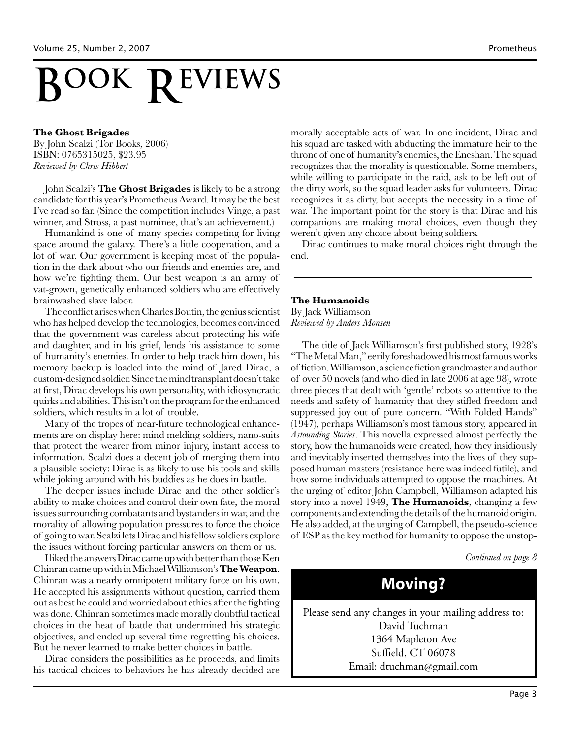# **REVIEWS BOOK**

#### **The Ghost Brigades**

By John Scalzi (Tor Books, 2006) ISBN: 0765315025, \$23.95 *Reviewed by Chris Hibbert*

John Scalzi's **The Ghost Brigades** is likely to be a strong candidate for this year's Prometheus Award. It may be the best I've read so far. (Since the competition includes Vinge, a past winner, and Stross, a past nominee, that's an achievement.)

Humankind is one of many species competing for living space around the galaxy. There's a little cooperation, and a lot of war. Our government is keeping most of the population in the dark about who our friends and enemies are, and how we're fighting them. Our best weapon is an army of vat-grown, genetically enhanced soldiers who are effectively brainwashed slave labor.

The conflict arises when Charles Boutin, the genius scientist who has helped develop the technologies, becomes convinced that the government was careless about protecting his wife and daughter, and in his grief, lends his assistance to some of humanity's enemies. In order to help track him down, his memory backup is loaded into the mind of Jared Dirac, a custom-designed soldier. Since the mind transplant doesn't take at first, Dirac develops his own personality, with idiosyncratic quirks and abilities. This isn't on the program for the enhanced soldiers, which results in a lot of trouble.

Many of the tropes of near-future technological enhancements are on display here: mind melding soldiers, nano-suits that protect the wearer from minor injury, instant access to information. Scalzi does a decent job of merging them into a plausible society: Dirac is as likely to use his tools and skills while joking around with his buddies as he does in battle.

The deeper issues include Dirac and the other soldier's ability to make choices and control their own fate, the moral issues surrounding combatants and bystanders in war, and the morality of allowing population pressures to force the choice of going to war. Scalzi lets Dirac and his fellow soldiers explore the issues without forcing particular answers on them or us.

I liked the answers Dirac came up with better than those Ken Chinran came up with in Michael Williamson's **The Weapon**. Chinran was a nearly omnipotent military force on his own. He accepted his assignments without question, carried them out as best he could and worried about ethics after the fighting was done. Chinran sometimes made morally doubtful tactical choices in the heat of battle that undermined his strategic objectives, and ended up several time regretting his choices. But he never learned to make better choices in battle.

Dirac considers the possibilities as he proceeds, and limits his tactical choices to behaviors he has already decided are

morally acceptable acts of war. In one incident, Dirac and his squad are tasked with abducting the immature heir to the throne of one of humanity's enemies, the Eneshan. The squad recognizes that the morality is questionable. Some members, while willing to participate in the raid, ask to be left out of the dirty work, so the squad leader asks for volunteers. Dirac recognizes it as dirty, but accepts the necessity in a time of war. The important point for the story is that Dirac and his companions are making moral choices, even though they weren't given any choice about being soldiers.

Dirac continues to make moral choices right through the end.

#### **The Humanoids**

By Jack Williamson *Reviewed by Anders Monsen*

The title of Jack Williamson's first published story, 1928's "The Metal Man," eerily foreshadowed his most famous works of fiction. Williamson, a science fiction grandmaster and author of over 50 novels (and who died in late 2006 at age 98), wrote three pieces that dealt with 'gentle' robots so attentive to the needs and safety of humanity that they stifled freedom and suppressed joy out of pure concern. "With Folded Hands" (1947), perhaps Williamson's most famous story, appeared in *Astounding Stories*. This novella expressed almost perfectly the story, how the humanoids were created, how they insidiously and inevitably inserted themselves into the lives of they supposed human masters (resistance here was indeed futile), and how some individuals attempted to oppose the machines. At the urging of editor John Campbell, Williamson adapted his story into a novel 1949, **The Humanoids**, changing a few components and extending the details of the humanoid origin. He also added, at the urging of Campbell, the pseudo-science of ESP as the key method for humanity to oppose the unstop-

*—Continued on page 8*

## **Moving?**

Please send any changes in your mailing address to: David Tuchman 1364 Mapleton Ave Suffield, CT 06078 Email: dtuchman@gmail.com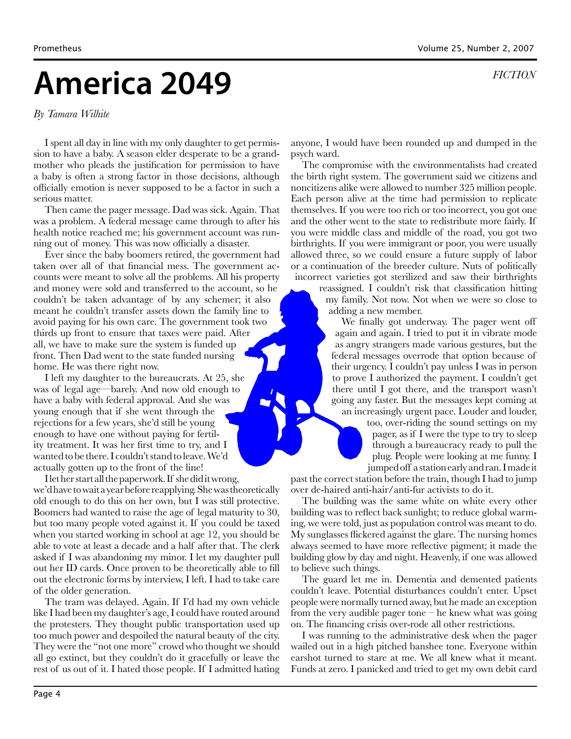# **America 2049**

*By Tamara Wilhite*

I spent all day in line with my only daughter to get permission to have a baby. A season elder desperate to be a grandmother who pleads the justification for permission to have a baby is often a strong factor in those decisions, although officially emotion is never supposed to be a factor in such a serious matter.

Then came the pager message. Dad was sick. Again. That was a problem. A federal message came through to after his health notice reached me; his government account was running out of money. This was now officially a disaster.

Ever since the baby boomers retired, the government had taken over all of that financial mess. The government accounts were meant to solve all the problems. All his property and money were sold and transferred to the account, so he couldn't be taken advantage of by any schemer; it also meant he couldn't transfer assets down the family line to avoid paying for his own care. The government took two thirds up front to ensure that taxes were paid. After all, we have to make sure the system is funded up front. Then Dad went to the state funded nursing home. He was there right now.

I left my daughter to the bureaucrats. At 25, she was of legal age—barely. And now old enough to have a baby with federal approval. And she was young enough that if she went through the rejections for a few years, she'd still be young enough to have one without paying for fertility treatment. It was her first time to try, and I wanted to be there. I couldn't stand to leave. We'd actually gotten up to the front of the line!

I let her start all the paperwork. If she did it wrong, we'd have to wait a year before reapplying. She was theoretically old enough to do this on her own, but I was still protective. Boomers had wanted to raise the age of legal maturity to 30, but too many people voted against it. If you could be taxed when you started working in school at age 12, you should be able to vote at least a decade and a half after that. The clerk asked if I was abandoning my minor. I let my daughter pull out her ID cards. Once proven to be theoretically able to fill out the electronic forms by interview, I left. I had to take care of the older generation.

The tram was delayed. Again. If I'd had my own vehicle like I had been my daughter's age, I could have routed around the protesters. They thought public transportation used up too much power and despoiled the natural beauty of the city. They were the "not one more" crowd who thought we should all go extinct, but they couldn't do it gracefully or leave the rest of us out of it. I hated those people. If I admitted hating

anyone, I would have been rounded up and dumped in the psych ward.

The compromise with the environmentalists had created the birth right system. The government said we citizens and noncitizens alike were allowed to number 325 million people. Each person alive at the time had permission to replicate themselves. If you were too rich or too incorrect, you got one and the other went to the state to redistribute more fairly. If you were middle class and middle of the road, you got two birthrights. If you were immigrant or poor, you were usually allowed three, so we could ensure a future supply of labor or a continuation of the breeder culture. Nuts of politically incorrect varieties got sterilized and saw their birthrights

> reassigned. I couldn't risk that classification hitting my family. Not now. Not when we were so close to adding a new member.

We finally got underway. The pager went off again and again. I tried to put it in vibrate mode as angry strangers made various gestures, but the federal messages overrode that option because of their urgency. I couldn't pay unless I was in person to prove I authorized the payment. I couldn't get there until I got there, and the transport wasn't going any faster. But the messages kept coming at an increasingly urgent pace. Louder and louder,

too, over-riding the sound settings on my pager, as if I were the type to try to sleep through a bureaucracy ready to pull the plug. People were looking at me funny. I jumped off a station early and ran. I made it

past the correct station before the train, though I had to jump over de-haired anti-hair/anti-fur activists to do it.

The building was the same white on white every other building was to reflect back sunlight; to reduce global warming, we were told, just as population control was meant to do. My sunglasses flickered against the glare. The nursing homes always seemed to have more reflective pigment; it made the building glow by day and night. Heavenly, if one was allowed to believe such things.

The guard let me in. Dementia and demented patients couldn't leave. Potential disturbances couldn't enter. Upset people were normally turned away, but he made an exception from the very audible pager tone – he knew what was going on. The financing crisis over-rode all other restrictions.

I was running to the administrative desk when the pager wailed out in a high pitched banshee tone. Everyone within earshot turned to stare at me. We all knew what it meant. Funds at zero. I panicked and tried to get my own debit card

*FICTION*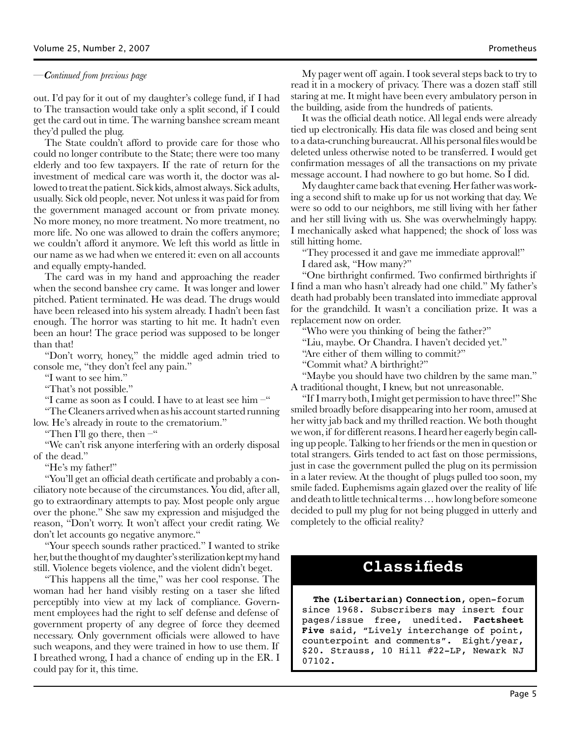#### *—Continued from previous page*

out. I'd pay for it out of my daughter's college fund, if I had to The transaction would take only a split second, if I could get the card out in time. The warning banshee scream meant they'd pulled the plug.

The State couldn't afford to provide care for those who could no longer contribute to the State; there were too many elderly and too few taxpayers. If the rate of return for the investment of medical care was worth it, the doctor was allowed to treat the patient. Sick kids, almost always. Sick adults, usually. Sick old people, never. Not unless it was paid for from the government managed account or from private money. No more money, no more treatment. No more treatment, no more life. No one was allowed to drain the coffers anymore; we couldn't afford it anymore. We left this world as little in our name as we had when we entered it: even on all accounts and equally empty-handed.

The card was in my hand and approaching the reader when the second banshee cry came. It was longer and lower pitched. Patient terminated. He was dead. The drugs would have been released into his system already. I hadn't been fast enough. The horror was starting to hit me. It hadn't even been an hour! The grace period was supposed to be longer than that!

"Don't worry, honey," the middle aged admin tried to console me, "they don't feel any pain."

"I want to see him."

"That's not possible."

"I came as soon as I could. I have to at least see him  $-$ "

"The Cleaners arrived when as his account started running low. He's already in route to the crematorium."

"Then I'll go there, then  $-$ "

"We can't risk anyone interfering with an orderly disposal of the dead."

"He's my father!"

"You'll get an official death certificate and probably a conciliatory note because of the circumstances. You did, after all, go to extraordinary attempts to pay. Most people only argue over the phone." She saw my expression and misjudged the reason, "Don't worry. It won't affect your credit rating. We don't let accounts go negative anymore."

"Your speech sounds rather practiced." I wanted to strike her, but the thought of my daughter's sterilization kept my hand still. Violence begets violence, and the violent didn't beget.

"This happens all the time," was her cool response. The woman had her hand visibly resting on a taser she lifted perceptibly into view at my lack of compliance. Government employees had the right to self defense and defense of government property of any degree of force they deemed necessary. Only government officials were allowed to have such weapons, and they were trained in how to use them. If I breathed wrong, I had a chance of ending up in the ER. I could pay for it, this time.

My pager went off again. I took several steps back to try to read it in a mockery of privacy. There was a dozen staff still staring at me. It might have been every ambulatory person in the building, aside from the hundreds of patients.

It was the official death notice. All legal ends were already tied up electronically. His data file was closed and being sent to a data-crunching bureaucrat. All his personal files would be deleted unless otherwise noted to be transferred. I would get confirmation messages of all the transactions on my private message account. I had nowhere to go but home. So I did.

My daughter came back that evening. Her father was working a second shift to make up for us not working that day. We were so odd to our neighbors, me still living with her father and her still living with us. She was overwhelmingly happy. I mechanically asked what happened; the shock of loss was still hitting home.

"They processed it and gave me immediate approval!"

I dared ask, "How many?"

"One birthright confirmed. Two confirmed birthrights if I find a man who hasn't already had one child." My father's death had probably been translated into immediate approval for the grandchild. It wasn't a conciliation prize. It was a replacement now on order.

"Who were you thinking of being the father?"

"Liu, maybe. Or Chandra. I haven't decided yet."

"Are either of them willing to commit?"

"Commit what? A birthright?"

"Maybe you should have two children by the same man." A traditional thought, I knew, but not unreasonable.

"If I marry both, I might get permission to have three!" She smiled broadly before disappearing into her room, amused at her witty jab back and my thrilled reaction. We both thought we won, if for different reasons. I heard her eagerly begin calling up people. Talking to her friends or the men in question or total strangers. Girls tended to act fast on those permissions, just in case the government pulled the plug on its permission in a later review. At the thought of plugs pulled too soon, my smile faded. Euphemisms again glazed over the reality of life and death to little technical terms … how long before someone decided to pull my plug for not being plugged in utterly and completely to the official reality?

### **Classifieds**

**The (Libertarian) Connection**, open-forum since 1968. Subscribers may insert four pages/issue free, unedited. **Factsheet Five** said, "Lively interchange of point, counterpoint and comments". Eight/year, \$20. Strauss, 10 Hill #22-LP, Newark NJ 07102.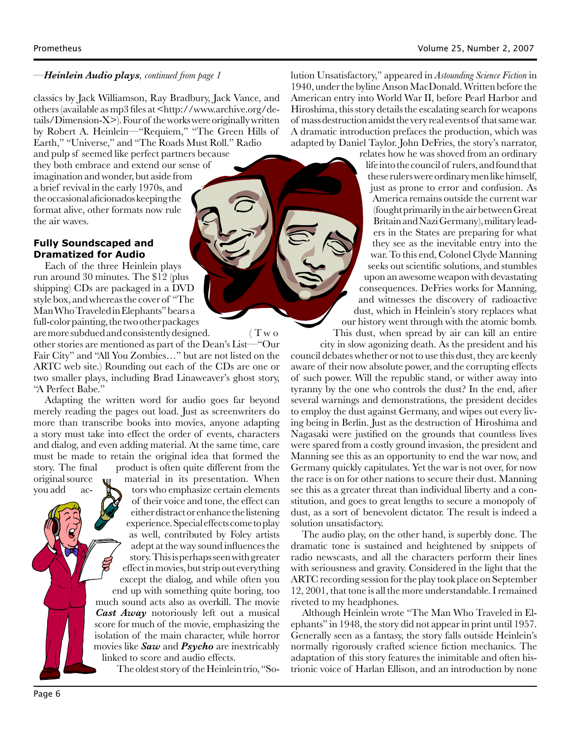#### *—Heinlein Audio plays, continued from page 1*

classics by Jack Williamson, Ray Bradbury, Jack Vance, and others (available as mp3 files at <http://www.archive.org/details/Dimension-X>). Four of the works were originally written by Robert A. Heinlein—"Requiem," "The Green Hills of Earth," "Universe," and "The Roads Must Roll." Radio

and pulp sf seemed like perfect partners because they both embrace and extend our sense of imagination and wonder, but aside from a brief revival in the early 1970s, and the occasional aficionados keeping the format alive, other formats now rule the air waves.

#### **Fully Soundscaped and Dramatized for Audio**

Each of the three Heinlein plays run around 30 minutes. The \$12 (plus shipping) CDs are packaged in a DVD style box, and whereas the cover of "The Man Who Traveled in Elephants" bears a full-color painting, the two other packages are more subdued and consistently designed. ( T w o

other stories are mentioned as part of the Dean's List—"Our Fair City" and "All You Zombies…" but are not listed on the ARTC web site.) Rounding out each of the CDs are one or two smaller plays, including Brad Linaweaver's ghost story, "A Perfect Babe."

Adapting the written word for audio goes far beyond merely reading the pages out load. Just as screenwriters do more than transcribe books into movies, anyone adapting a story must take into effect the order of events, characters and dialog, and even adding material. At the same time, care must be made to retain the original idea that formed the story. The final product is often quite different from the original source  $\mathbf{u}$  material in its presentation. When

you add ac- **the set of the state of the state and state and state and state and state and state and state and state and state and state and state and state and state and state and state and state and state and state and s** of their voice and tone, the effect can either distract or enhance the listening experience. Special effects come to play as well, contributed by Foley artists adept at the way sound influences the story. This is perhaps seen with greater effect in movies, but strip out everything except the dialog, and while often you end up with something quite boring, too much sound acts also as overkill. The movie *Cast Away* notoriously left out a musical score for much of the movie, emphasizing the isolation of the main character, while horror movies like *Saw* and *Psycho* are inextricably linked to score and audio effects.

The oldest story of the Heinlein trio, "So-

lution Unsatisfactory," appeared in *Astounding Science Fiction* in 1940, under the byline Anson MacDonald. Written before the American entry into World War II, before Pearl Harbor and Hiroshima, this story details the escalating search for weapons of mass destruction amidst the very real events of that same war. A dramatic introduction prefaces the production, which was adapted by Daniel Taylor. John DeFries, the story's narrator,

relates how he was shoved from an ordinary life into the council of rulers, and found that these rulers were ordinary men like himself, just as prone to error and confusion. As America remains outside the current war (fought primarily in the air between Great Britain and Nazi Germany), military leaders in the States are preparing for what they see as the inevitable entry into the war. To this end, Colonel Clyde Manning seeks out scientific solutions, and stumbles upon an awesome weapon with devastating consequences. DeFries works for Manning, and witnesses the discovery of radioactive dust, which in Heinlein's story replaces what our history went through with the atomic bomb. This dust, when spread by air can kill an entire

city in slow agonizing death. As the president and his council debates whether or not to use this dust, they are keenly aware of their now absolute power, and the corrupting effects of such power. Will the republic stand, or wither away into tyranny by the one who controls the dust? In the end, after several warnings and demonstrations, the president decides to employ the dust against Germany, and wipes out every living being in Berlin. Just as the destruction of Hiroshima and Nagasaki were justified on the grounds that countless lives were spared from a costly ground invasion, the president and Manning see this as an opportunity to end the war now, and Germany quickly capitulates. Yet the war is not over, for now the race is on for other nations to secure their dust. Manning see this as a greater threat than individual liberty and a constitution, and goes to great lengths to secure a monopoly of dust, as a sort of benevolent dictator. The result is indeed a solution unsatisfactory.

The audio play, on the other hand, is superbly done. The dramatic tone is sustained and heightened by snippets of radio newscasts, and all the characters perform their lines with seriousness and gravity. Considered in the light that the ARTC recording session for the play took place on September 12, 2001, that tone is all the more understandable. I remained riveted to my headphones.

Although Heinlein wrote "The Man Who Traveled in Elephants" in 1948, the story did not appear in print until 1957. Generally seen as a fantasy, the story falls outside Heinlein's normally rigorously crafted science fiction mechanics. The adaptation of this story features the inimitable and often histrionic voice of Harlan Ellison, and an introduction by none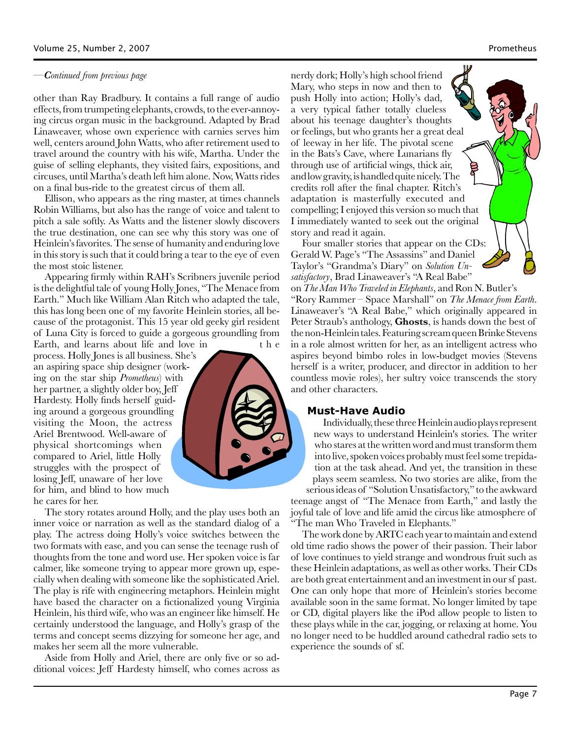#### *—Continued from previous page*

other than Ray Bradbury. It contains a full range of audio effects, from trumpeting elephants, crowds, to the ever-annoying circus organ music in the background. Adapted by Brad Linaweaver, whose own experience with carnies serves him well, centers around John Watts, who after retirement used to travel around the country with his wife, Martha. Under the guise of selling elephants, they visited fairs, expositions, and circuses, until Martha's death left him alone. Now, Watts rides on a final bus-ride to the greatest circus of them all.

Ellison, who appears as the ring master, at times channels Robin Williams, but also has the range of voice and talent to pitch a sale softly. As Watts and the listener slowly discovers the true destination, one can see why this story was one of Heinlein's favorites. The sense of humanity and enduring love in this story is such that it could bring a tear to the eye of even the most stoic listener.

Appearing firmly within RAH's Scribners juvenile period is the delightful tale of young Holly Jones, "The Menace from Earth." Much like William Alan Ritch who adapted the tale, this has long been one of my favorite Heinlein stories, all because of the protagonist. This 15 year old geeky girl resident of Luna City is forced to guide a gorgeous groundling from

Earth, and learns about life and love in the process. Holly Jones is all business. She's an aspiring space ship designer (working on the star ship *Prometheus*) with her partner, a slightly older boy, Jeff Hardesty. Holly finds herself guiding around a gorgeous groundling visiting the Moon, the actress Ariel Brentwood. Well-aware of physical shortcomings when compared to Ariel, little Holly struggles with the prospect of losing Jeff, unaware of her love for him, and blind to how much he cares for her.



The story rotates around Holly, and the play uses both an inner voice or narration as well as the standard dialog of a play. The actress doing Holly's voice switches between the two formats with ease, and you can sense the teenage rush of thoughts from the tone and word use. Her spoken voice is far calmer, like someone trying to appear more grown up, especially when dealing with someone like the sophisticated Ariel. The play is rife with engineering metaphors. Heinlein might have based the character on a fictionalized young Virginia Heinlein, his third wife, who was an engineer like himself. He certainly understood the language, and Holly's grasp of the terms and concept seems dizzying for someone her age, and makes her seem all the more vulnerable.

Aside from Holly and Ariel, there are only five or so additional voices: Jeff Hardesty himself, who comes across as

nerdy dork; Holly's high school friend Mary, who steps in now and then to push Holly into action; Holly's dad, a very typical father totally clueless about his teenage daughter's thoughts or feelings, but who grants her a great deal of leeway in her life. The pivotal scene in the Bats's Cave, where Lunarians fly through use of artificial wings, thick air, and low gravity, is handled quite nicely. The credits roll after the final chapter. Ritch's adaptation is masterfully executed and compelling; I enjoyed this version so much that I immediately wanted to seek out the original story and read it again.

Four smaller stories that appear on the CDs: Gerald W. Page's "The Assassins" and Daniel Taylor's "Grandma's Diary" on *Solution Unsatisfactory*, Brad Linaweaver's "A Real Babe"

on *The Man Who Traveled in Elephants*, and Ron N. Butler's "Rory Rammer – Space Marshall" on *The Menace from Earth*. Linaweaver's "A Real Babe," which originally appeared in Peter Straub's anthology, **Ghosts**, is hands down the best of the non-Heinlein tales. Featuring scream queen Brinke Stevens in a role almost written for her, as an intelligent actress who aspires beyond bimbo roles in low-budget movies (Stevens herself is a writer, producer, and director in addition to her countless movie roles), her sultry voice transcends the story and other characters.

#### **Must-Have Audio**

Individually, these three Heinlein audio plays represent new ways to understand Heinlein's stories. The writer who stares at the written word and must transform them into live, spoken voices probably must feel some trepidation at the task ahead. And yet, the transition in these plays seem seamless. No two stories are alike, from the serious ideas of "Solution Unsatisfactory," to the awkward

teenage angst of "The Menace from Earth," and lastly the joyful tale of love and life amid the circus like atmosphere of "The man Who Traveled in Elephants."

The work done by ARTC each year to maintain and extend old time radio shows the power of their passion. Their labor of love continues to yield strange and wondrous fruit such as these Heinlein adaptations, as well as other works. Their CDs are both great entertainment and an investment in our sf past. One can only hope that more of Heinlein's stories become available soon in the same format. No longer limited by tape or CD, digital players like the iPod allow people to listen to these plays while in the car, jogging, or relaxing at home. You no longer need to be huddled around cathedral radio sets to experience the sounds of sf.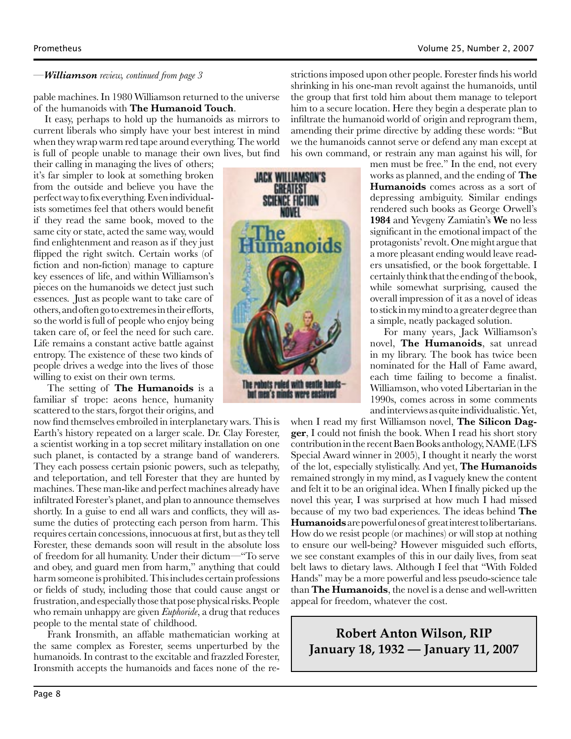#### *—Williamson review, continued from page 3*

pable machines. In 1980 Williamson returned to the universe of the humanoids with **The Humanoid Touch**.

It easy, perhaps to hold up the humanoids as mirrors to current liberals who simply have your best interest in mind when they wrap warm red tape around everything. The world is full of people unable to manage their own lives, but find

their calling in managing the lives of others; it's far simpler to look at something broken from the outside and believe you have the perfect way to fix everything. Even individualists sometimes feel that others would benefit if they read the same book, moved to the same city or state, acted the same way, would find enlightenment and reason as if they just flipped the right switch. Certain works (of fiction and non-fiction) manage to capture key essences of life, and within Williamson's pieces on the humanoids we detect just such essences. Just as people want to take care of others, and often go to extremes in their efforts, so the world is full of people who enjoy being taken care of, or feel the need for such care. Life remains a constant active battle against entropy. The existence of these two kinds of people drives a wedge into the lives of those willing to exist on their own terms.

 The setting of **The Humanoids** is a familiar sf trope: aeons hence, humanity scattered to the stars, forgot their origins, and

now find themselves embroiled in interplanetary wars. This is Earth's history repeated on a larger scale. Dr. Clay Forester, a scientist working in a top secret military installation on one such planet, is contacted by a strange band of wanderers. They each possess certain psionic powers, such as telepathy, and teleportation, and tell Forester that they are hunted by machines. These man-like and perfect machines already have infiltrated Forester's planet, and plan to announce themselves shortly. In a guise to end all wars and conflicts, they will assume the duties of protecting each person from harm. This requires certain concessions, innocuous at first, but as they tell Forester, these demands soon will result in the absolute loss of freedom for all humanity. Under their dictum—"To serve and obey, and guard men from harm," anything that could harm someone is prohibited. This includes certain professions or fields of study, including those that could cause angst or frustration, and especially those that pose physical risks. People who remain unhappy are given *Euphoride*, a drug that reduces people to the mental state of childhood.

 Frank Ironsmith, an affable mathematician working at the same complex as Forester, seems unperturbed by the humanoids. In contrast to the excitable and frazzled Forester, Ironsmith accepts the humanoids and faces none of the restrictions imposed upon other people. Forester finds his world shrinking in his one-man revolt against the humanoids, until the group that first told him about them manage to teleport him to a secure location. Here they begin a desperate plan to infiltrate the humanoid world of origin and reprogram them, amending their prime directive by adding these words: "But we the humanoids cannot serve or defend any man except at his own command, or restrain any man against his will, for

men must be free." In the end, not every works as planned, and the ending of **The Humanoids** comes across as a sort of depressing ambiguity. Similar endings rendered such books as George Orwell's **1984** and Yevgeny Zamiatin's **We** no less significant in the emotional impact of the protagonists' revolt. One might argue that a more pleasant ending would leave readers unsatisfied, or the book forgettable. I certainly think that the ending of the book, while somewhat surprising, caused the overall impression of it as a novel of ideas to stick in my mind to a greater degree than a simple, neatly packaged solution.

 For many years, Jack Williamson's novel, **The Humanoids**, sat unread in my library. The book has twice been nominated for the Hall of Fame award, each time failing to become a finalist. Williamson, who voted Libertarian in the 1990s, comes across in some comments and interviews as quite individualistic. Yet,

when I read my first Williamson novel, **The Silicon Dagger**, I could not finish the book. When I read his short story contribution in the recent Baen Books anthology, NAME (LFS Special Award winner in 2005), I thought it nearly the worst of the lot, especially stylistically. And yet, **The Humanoids**  remained strongly in my mind, as I vaguely knew the content and felt it to be an original idea. When I finally picked up the novel this year, I was surprised at how much I had missed because of my two bad experiences. The ideas behind **The Humanoids** are powerful ones of great interest to libertarians. How do we resist people (or machines) or will stop at nothing to ensure our well-being? However misguided such efforts, we see constant examples of this in our daily lives, from seat belt laws to dietary laws. Although I feel that "With Folded Hands" may be a more powerful and less pseudo-science tale than **The Humanoids**, the novel is a dense and well-written appeal for freedom, whatever the cost.

**Robert Anton Wilson, RIP January 18, 1932 — January 11, 2007**

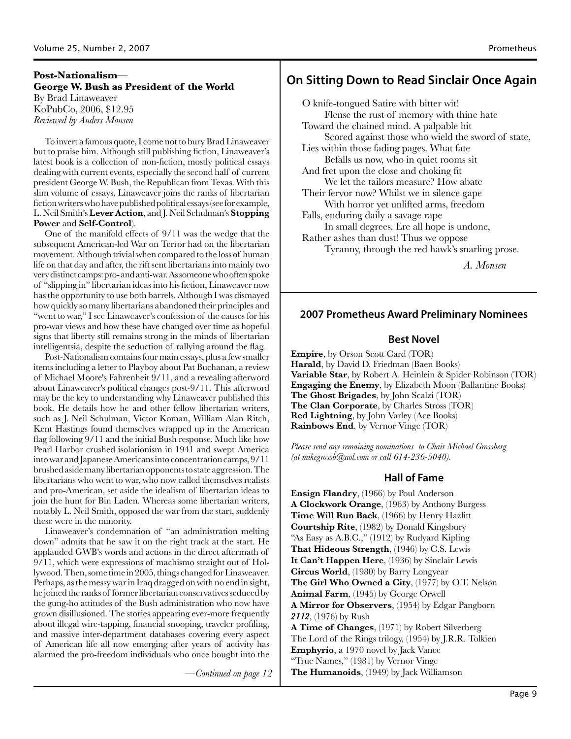#### **George W. Bush as President of the World** By Brad Linaweaver KoPubCo, 2006, \$12.95 *Reviewed by Anders Monsen*

To invert a famous quote, I come not to bury Brad Linaweaver but to praise him. Although still publishing fiction, Linaweaver's latest book is a collection of non-fiction, mostly political essays dealing with current events, especially the second half of current president George W. Bush, the Republican from Texas. With this slim volume of essays, Linaweaver joins the ranks of libertarian fiction writers who have published political essays (see for example, L. Neil Smith's **Lever Action**, and J. Neil Schulman's **Stopping Power** and **Self-Control**).

One of the manifold effects of 9/11 was the wedge that the subsequent American-led War on Terror had on the libertarian movement. Although trivial when compared to the loss of human life on that day and after, the rift sent libertarians into mainly two very distinct camps: pro- and anti-war. As someone who often spoke of "slipping in" libertarian ideas into his fiction, Linaweaver now has the opportunity to use both barrels. Although I was dismayed how quickly so many libertarians abandoned their principles and "went to war," I see Linaweaver's confession of the causes for his pro-war views and how these have changed over time as hopeful signs that liberty still remains strong in the minds of libertarian intelligentsia, despite the seduction of rallying around the flag.

Post-Nationalism contains four main essays, plus a few smaller items including a letter to Playboy about Pat Buchanan, a review of Michael Moore's Fahrenheit 9/11, and a revealing afterword about Linaweaver's political changes post-9/11. This afterword may be the key to understanding why Linaweaver published this book. He details how he and other fellow libertarian writers, such as J. Neil Schulman, Victor Koman, William Alan Ritch, Kent Hastings found themselves wrapped up in the American flag following 9/11 and the initial Bush response. Much like how Pearl Harbor crushed isolationism in 1941 and swept America into war and Japanese Americans into concentration camps, 9/11 brushed aside many libertarian opponents to state aggression. The libertarians who went to war, who now called themselves realists and pro-American, set aside the idealism of libertarian ideas to join the hunt for Bin Laden. Whereas some libertarian writers, notably L. Neil Smith, opposed the war from the start, suddenly these were in the minority.

Linaweaver's condemnation of "an administration melting down" admits that he saw it on the right track at the start. He applauded GWB's words and actions in the direct aftermath of 9/11, which were expressions of machismo straight out of Hollywood. Then, some time in 2005, things changed for Linaweaver. Perhaps, as the messy war in Iraq dragged on with no end in sight, he joined the ranks of former libertarian conservatives seduced by the gung-ho attitudes of the Bush administration who now have grown disillusioned. The stories appearing ever-more frequently about illegal wire-tapping, financial snooping, traveler profiling, and massive inter-department databases covering every aspect of American life all now emerging after years of activity has alarmed the pro-freedom individuals who once bought into the

*—Continued on page 12*

### **On Sitting Down to Read Sinclair Once Again Post-Nationalism—**

O knife-tongued Satire with bitter wit! Flense the rust of memory with thine hate Toward the chained mind. A palpable hit Scored against those who wield the sword of state, Lies within those fading pages. What fate Befalls us now, who in quiet rooms sit And fret upon the close and choking fit We let the tailors measure? How abate Their fervor now? Whilst we in silence gape With horror yet unlifted arms, freedom Falls, enduring daily a savage rape In small degrees. Ere all hope is undone, Rather ashes than dust! Thus we oppose Tyranny, through the red hawk's snarling prose.

*A. Monsen*

#### **2007 Prometheus Award Preliminary Nominees**

#### **Best Novel**

**Empire**, by Orson Scott Card (TOR) **Harald**, by David D. Friedman (Baen Books) **Variable Star**, by Robert A. Heinlein & Spider Robinson (TOR) **Engaging the Enemy**, by Elizabeth Moon (Ballantine Books) **The Ghost Brigades**, by John Scalzi (TOR) **The Clan Corporate**, by Charles Stross (TOR) **Red Lightning**, by John Varley (Ace Books) **Rainbows End**, by Vernor Vinge (TOR)

*Please send any remaining nominations to Chair Michael Grossberg (at mikegrossb@aol.com or call 614-236-5040).*

#### **Hall of Fame**

**Ensign Flandry**, (1966) by Poul Anderson **A Clockwork Orange**, (1963) by Anthony Burgess **Time Will Run Back**, (1966) by Henry Hazlitt **Courtship Rite**, (1982) by Donald Kingsbury "As Easy as A.B.C.," (1912) by Rudyard Kipling **That Hideous Strength**, (1946) by C.S. Lewis **It Can't Happen Here**, (1936) by Sinclair Lewis **Circus World**, (1980) by Barry Longyear **The Girl Who Owned a City**, (1977) by O.T. Nelson **Animal Farm**, (1945) by George Orwell **A Mirror for Observers**, (1954) by Edgar Pangborn *2112*, (1976) by Rush **A Time of Changes**, (1971) by Robert Silverberg The Lord of the Rings trilogy, (1954) by J.R.R. Tolkien **Emphyrio**, a 1970 novel by Jack Vance "True Names," (1981) by Vernor Vinge **The Humanoids**, (1949) by Jack Williamson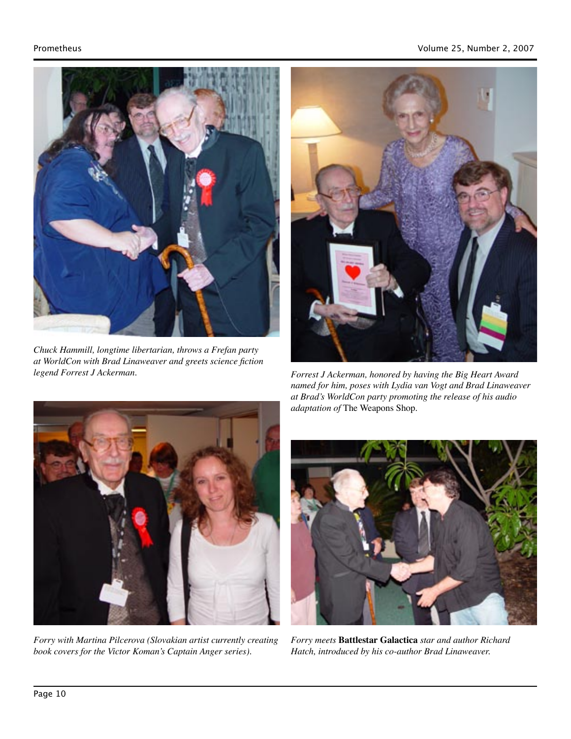

*Chuck Hammill, longtime libertarian, throws a Frefan party at WorldCon with Brad Linaweaver and greets science fiction legend Forrest J Ackerman.*



*Forrest J Ackerman, honored by having the Big Heart Award named for him, poses with Lydia van Vogt and Brad Linaweaver at Brad's WorldCon party promoting the release of his audio adaptation of* The Weapons Shop*.*



*Forry with Martina Pilcerova (Slovakian artist currently creating book covers for the Victor Koman's Captain Anger series).*



*Forry meets* **Battlestar Galactica** *star and author Richard Hatch, introduced by his co-author Brad Linaweaver.*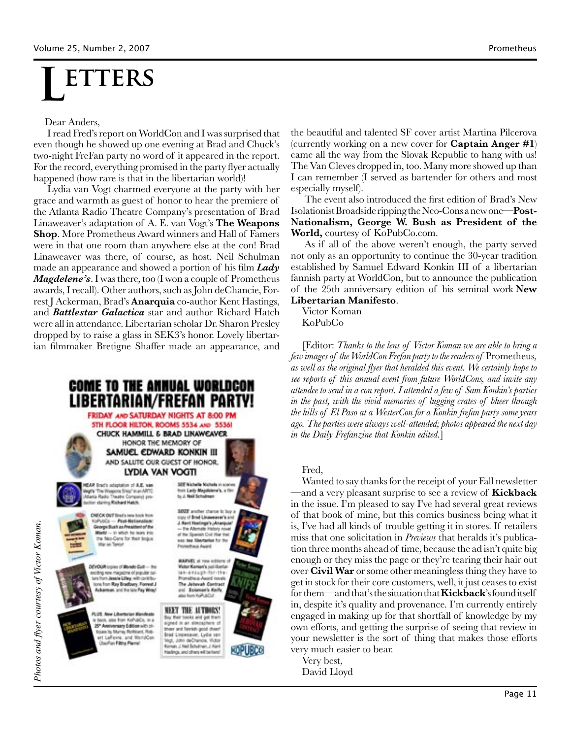# **ETTERS**

#### Dear Anders,

 I read Fred's report on WorldCon and I was surprised that even though he showed up one evening at Brad and Chuck's two-night FreFan party no word of it appeared in the report. For the record, everything promised in the party flyer actually happened (how rare is that in the libertarian world)!

 Lydia van Vogt charmed everyone at the party with her grace and warmth as guest of honor to hear the premiere of the Atlanta Radio Theatre Company's presentation of Brad Linaweaver's adaptation of A. E. van Vogt's **The Weapons Shop**. More Prometheus Award winners and Hall of Famers were in that one room than anywhere else at the con! Brad Linaweaver was there, of course, as host. Neil Schulman made an appearance and showed a portion of his film *Lady Magdelene's*. I was there, too (I won a couple of Prometheus awards, I recall). Other authors, such as John deChancie, Forrest J Ackerman, Brad's **Anarquia** co-author Kent Hastings, and *Battlestar Galactica* star and author Richard Hatch were all in attendance. Libertarian scholar Dr. Sharon Presley dropped by to raise a glass in SEK3's honor. Lovely libertarian filmmaker Bretigne Shaffer made an appearance, and



the beautiful and talented SF cover artist Martina Pilcerova (currently working on a new cover for **Captain Anger #1**) came all the way from the Slovak Republic to hang with us! The Van Cleves dropped in, too. Many more showed up than I can remember (I served as bartender for others and most especially myself).

 The event also introduced the first edition of Brad's New Isolationist Broadside ripping the Neo-Cons a new one—**Post-Nationalism, George W. Bush as President of the World,** courtesy of KoPubCo.com.

 As if all of the above weren't enough, the party served not only as an opportunity to continue the 30-year tradition established by Samuel Edward Konkin III of a libertarian fannish party at WorldCon, but to announce the publication of the 25th anniversary edition of his seminal work **New Libertarian Manifesto**.

Victor Koman KoPubCo

[Editor: *Thanks to the lens of Victor Koman we are able to bring a few images of the WorldCon Frefan party to the readers of* Prometheus*, as well as the original flyer that heralded this event. We certainly hope to see reports of this annual event from future WorldCons, and invite any attendee to send in a con report. I attended a few of Sam Konkin's parties in the past, with the vivid memories of lugging crates of bheer through the hills of El Paso at a WesterCon for a Konkin frefan party some years ago. The parties were always well-attended; photos appeared the next day in the Daily Frefanzine that Konkin edited.*]

Fred,

Wanted to say thanks for the receipt of your Fall newsletter —and a very pleasant surprise to see a review of **Kickback** in the issue. I'm pleased to say I've had several great reviews of that book of mine, but this comics business being what it is, I've had all kinds of trouble getting it in stores. If retailers miss that one solicitation in *Previews* that heralds it's publication three months ahead of time, because the ad isn't quite big enough or they miss the page or they're tearing their hair out over **Civil War** or some other meaningless thing they have to get in stock for their core customers, well, it just ceases to exist for them—and that's the situation that **Kickback**'s found itself in, despite it's quality and provenance. I'm currently entirely engaged in making up for that shortfall of knowledge by my own efforts, and getting the surprise of seeing that review in your newsletter is the sort of thing that makes those efforts very much easier to bear.

Very best, David Lloyd